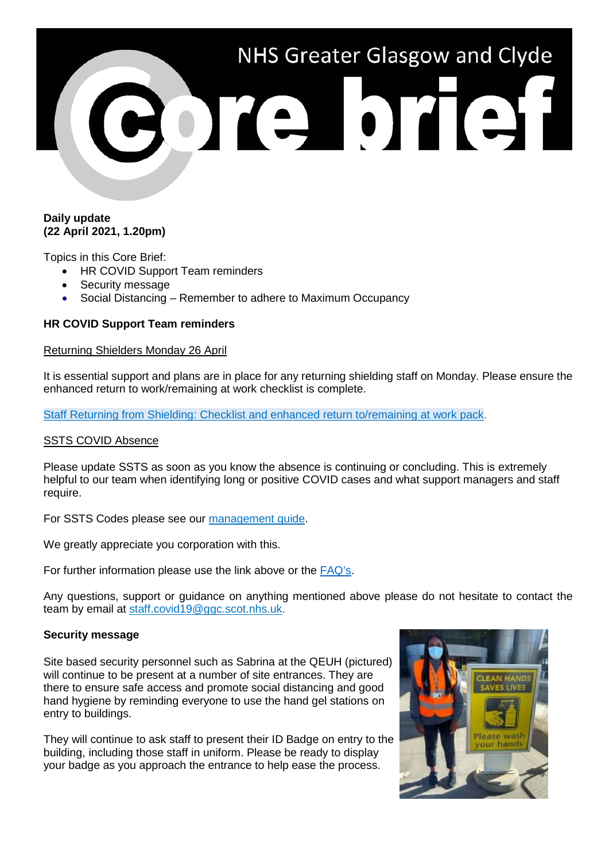# NHS Greater Glasgow and Clyde

## **Daily update (22 April 2021, 1.20pm)**

Topics in this Core Brief:

- HR COVID Support Team reminders
- Security message
- Social Distancing Remember to adhere to Maximum Occupancy

# **HR COVID Support Team reminders**

### Returning Shielders Monday 26 April

It is essential support and plans are in place for any returning shielding staff on Monday. Please ensure the enhanced return to work/remaining at work checklist is complete.

[Staff Returning from Shielding: Checklist and enhanced return to/remaining at work pack.](https://www.nhsggc.org.uk/media/266092/covid19_managers_return_to_work_pack-4-updated-300321-shielders-checklis.doc)

### SSTS COVID Absence

Please update SSTS as soon as you know the absence is continuing or concluding. This is extremely helpful to our team when identifying long or positive COVID cases and what support managers and staff require.

For SSTS Codes please see our [management guide.](https://www.nhsggc.org.uk/media/264670/management-quick-guide.pdf)

We greatly appreciate you corporation with this.

For further information please use the link above or the [FAQ's.](https://www.nhsggc.org.uk/media/264776/covid-19_staff_faqs.pdf)

Any questions, support or guidance on anything mentioned above please do not hesitate to contact the team by email at [staff.covid19@ggc.scot.nhs.uk.](mailto:staff.covid19@ggc.scot.nhs.uk)

### **Security message**

Site based security personnel such as Sabrina at the QEUH (pictured) will continue to be present at a number of site entrances. They are there to ensure safe access and promote social distancing and good hand hygiene by reminding everyone to use the hand gel stations on entry to buildings.

They will continue to ask staff to present their ID Badge on entry to the building, including those staff in uniform. Please be ready to display your badge as you approach the entrance to help ease the process.